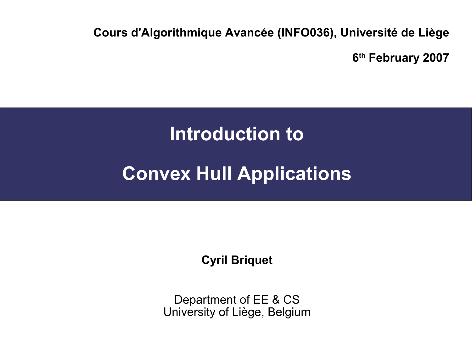**Cours d'Algorithmique Avancée (INFO036), Université de Liège**

**6 th February 2007**

#### **Introduction to**

#### **Convex Hull Applications**

**Cyril Briquet**

Department of EE & CS University of Liège, Belgium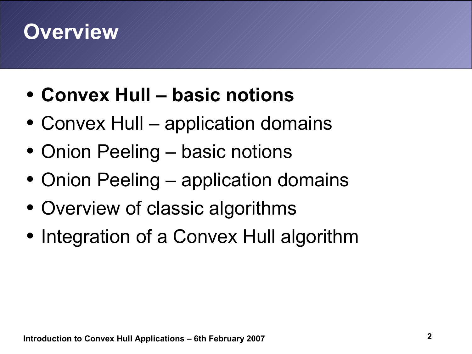- **Convex Hull – basic notions**
- Convex Hull application domains
- Onion Peeling basic notions
- Onion Peeling application domains
- Overview of classic algorithms
- Integration of a Convex Hull algorithm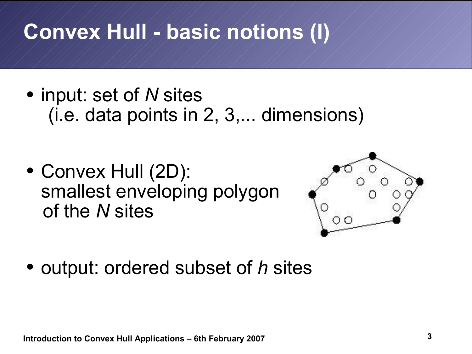## **Convex Hull - basic notions (I)**

- input: set of *N* sites (i.e. data points in 2, 3,... dimensions)
- Convex Hull (2D): smallest enveloping polygon of the *N* sites



● output: ordered subset of *h* sites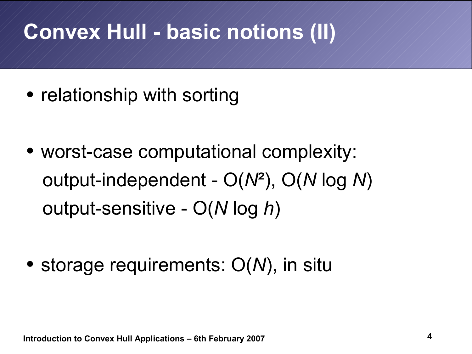## **Convex Hull - basic notions (II)**

- relationship with sorting
- worst-case computational complexity: output-independent - O(*N*²), O(*N* log *N*) output-sensitive - O(*N* log *h*)

• storage requirements:  $O(N)$ , in situ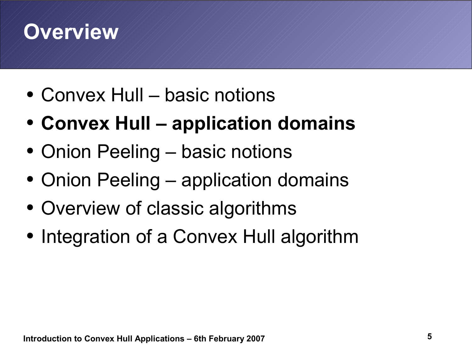- Convex Hull basic notions
- **Convex Hull – application domains**
- Onion Peeling basic notions
- Onion Peeling application domains
- Overview of classic algorithms
- Integration of a Convex Hull algorithm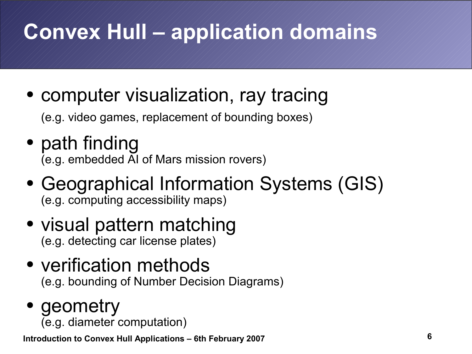# **Convex Hull – application domains**

• computer visualization, ray tracing

(e.g. video games, replacement of bounding boxes)

- path finding (e.g. embedded AI of Mars mission rovers)
- Geographical Information Systems (GIS) (e.g. computing accessibility maps)
- visual pattern matching (e.g. detecting car license plates)
- verification methods (e.g. bounding of Number Decision Diagrams)
- geometry (e.g. diameter computation)

**Introduction to Convex Hull Applications – 6th February 2007**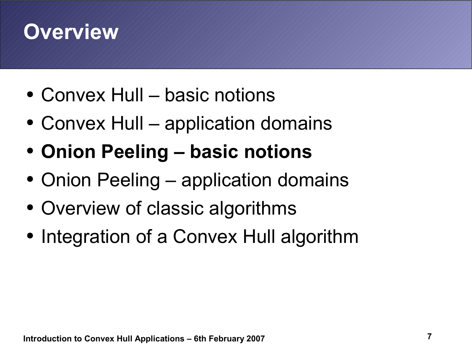- Convex Hull basic notions
- Convex Hull application domains
- **Onion Peeling – basic notions**
- Onion Peeling application domains
- Overview of classic algorithms
- Integration of a Convex Hull algorithm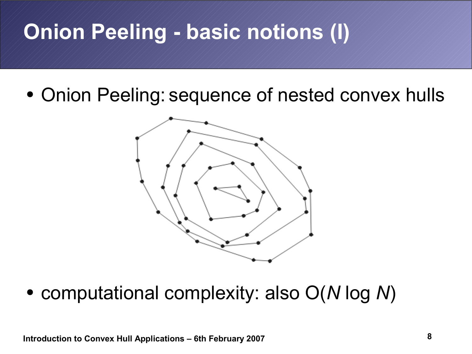## **Onion Peeling - basic notions (I)**

• Onion Peeling: sequence of nested convex hulls



● computational complexity: also O(*N* log *N*)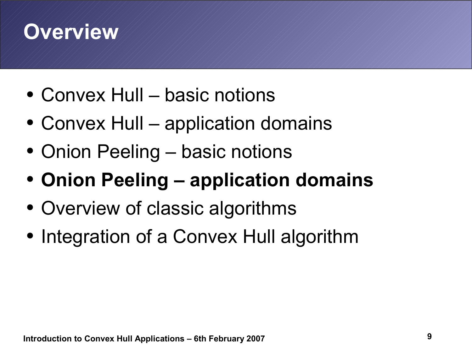- Convex Hull basic notions
- Convex Hull application domains
- Onion Peeling basic notions
- **Onion Peeling – application domains**
- Overview of classic algorithms
- Integration of a Convex Hull algorithm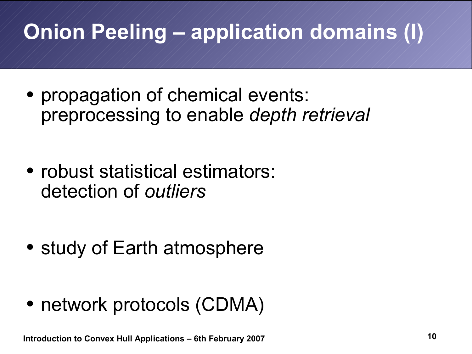# **Onion Peeling – application domains (I)**

- propagation of chemical events: preprocessing to enable *depth retrieval*
- robust statistical estimators: detection of *outliers*

- study of Earth atmosphere
- network protocols (CDMA)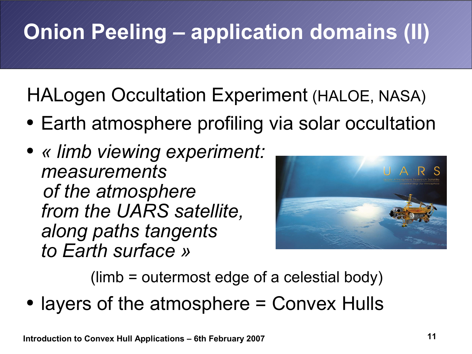# **Onion Peeling – application domains (II)**

HALogen Occultation Experiment (HALOE, NASA)

- Earth atmosphere profiling via solar occultation
- *« limb viewing experiment: measurements of the atmosphere from the UARS satellite, along paths tangents to Earth surface »*



(limb = outermost edge of a celestial body)

• layers of the atmosphere = Convex Hulls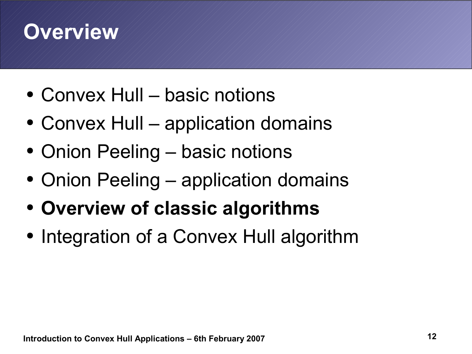- Convex Hull basic notions
- Convex Hull application domains
- Onion Peeling basic notions
- Onion Peeling application domains
- **Overview of classic algorithms**
- Integration of a Convex Hull algorithm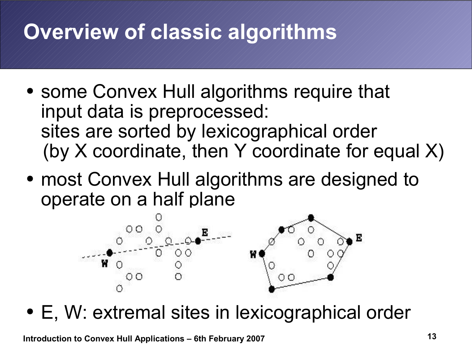- some Convex Hull algorithms require that input data is preprocessed: sites are sorted by lexicographical order (by X coordinate, then Y coordinate for equal X)
- most Convex Hull algorithms are designed to operate on a half plane



• E, W: extremal sites in lexicographical order

**Introduction to Convex Hull Applications – 6th February 2007**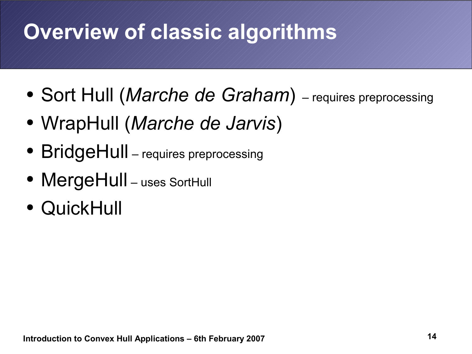- Sort Hull (*Marche de Graham*) requires preprocessing
- WrapHull (*Marche de Jarvis*)
- BridgeHull requires preprocessing
- MergeHull uses SortHull
- QuickHull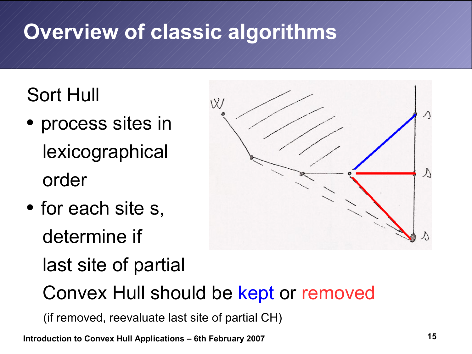### Sort Hull

- process sites in lexicographical order
- for each site s, determine if last site of partial



Convex Hull should be kept or removed

(if removed, reevaluate last site of partial CH)

**Introduction to Convex Hull Applications – 6th February 2007**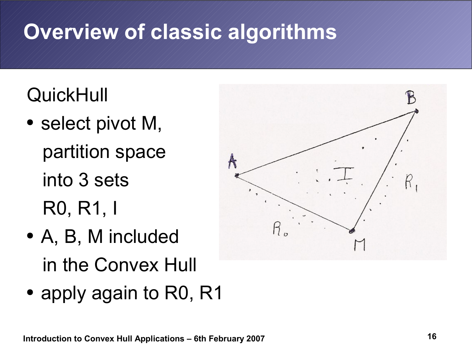### **QuickHull**

- select pivot M, partition space into 3 sets R0, R1, I
- A, B, M included in the Convex Hull
- apply again to R0, R1

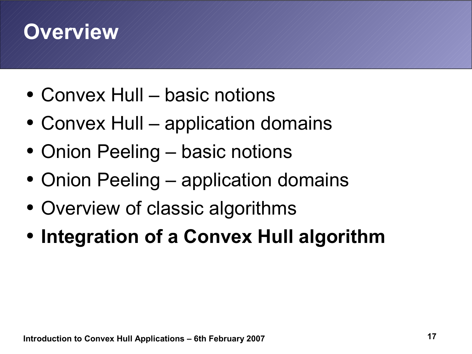- Convex Hull basic notions
- Convex Hull application domains
- Onion Peeling basic notions
- Onion Peeling application domains
- Overview of classic algorithms
- **Integration of a Convex Hull algorithm**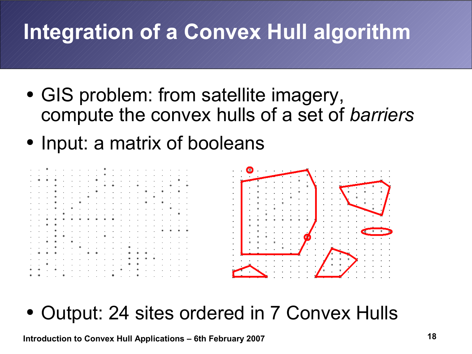- GIS problem: from satellite imagery, compute the convex hulls of a set of *barriers*
- Input: a matrix of booleans



• Output: 24 sites ordered in 7 Convex Hulls

**Introduction to Convex Hull Applications – 6th February 2007**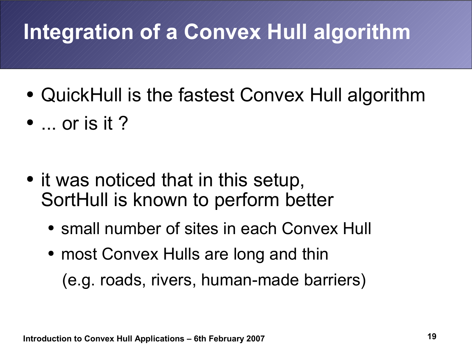- QuickHull is the fastest Convex Hull algorithm
- $\bullet$  ... or is it ?

- it was noticed that in this setup, SortHull is known to perform better
	- small number of sites in each Convex Hull
	- most Convex Hulls are long and thin (e.g. roads, rivers, human-made barriers)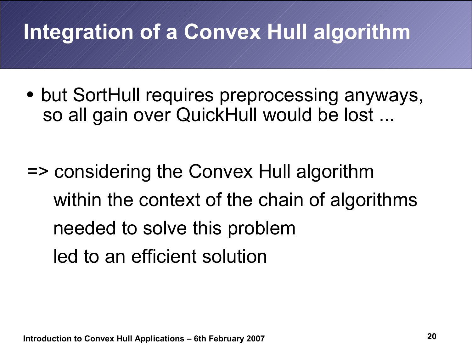• but SortHull requires preprocessing anyways, so all gain over QuickHull would be lost ...

=> considering the Convex Hull algorithm within the context of the chain of algorithms needed to solve this problem led to an efficient solution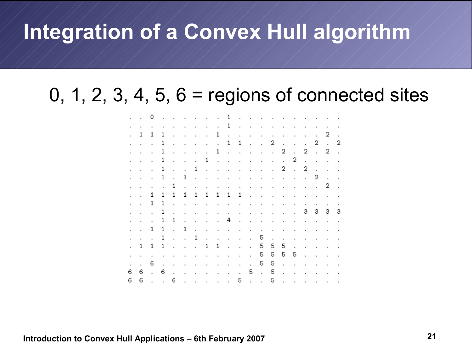#### 0, 1, 2, 3, 4, 5,  $6 =$  regions of connected sites

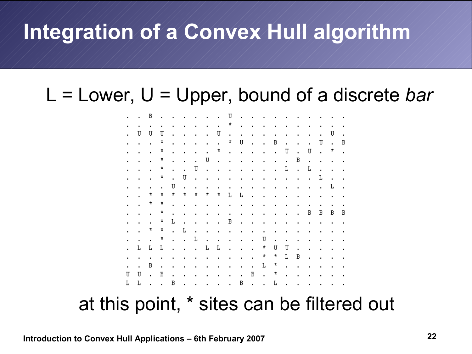#### L = Lower, U = Upper, bound of a discrete *bar*



at this point, \* sites can be filtered out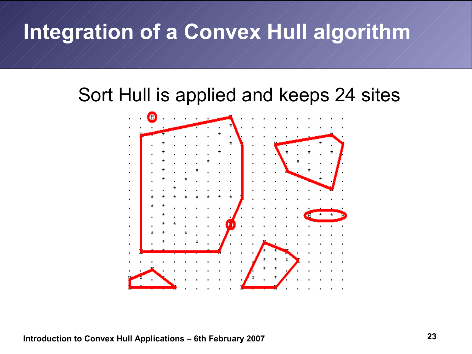